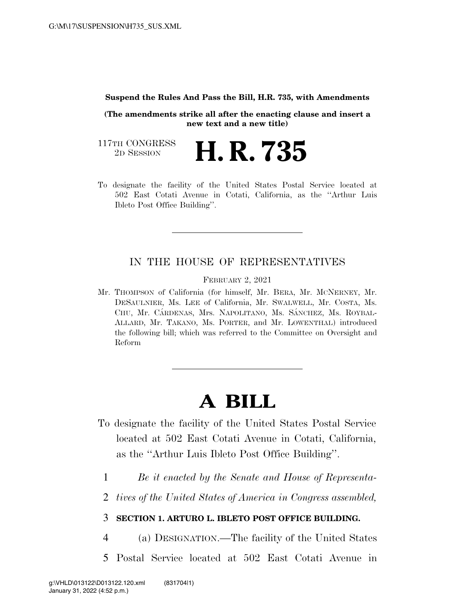## **Suspend the Rules And Pass the Bill, H.R. 735, with Amendments**

**(The amendments strike all after the enacting clause and insert a new text and a new title)** 

117TH CONGRESS<br>2D SESSION 2D SESSION **H. R. 735** 

To designate the facility of the United States Postal Service located at 502 East Cotati Avenue in Cotati, California, as the ''Arthur Luis Ibleto Post Office Building''.

## IN THE HOUSE OF REPRESENTATIVES

FEBRUARY 2, 2021

Mr. THOMPSON of California (for himself, Mr. BERA, Mr. MCNERNEY, Mr. DESAULNIER, Ms. LEE of California, Mr. SWALWELL, Mr. COSTA, Ms. CHU, Mr. CÁRDENAS, Mrs. NAPOLITANO, Ms. SÁNCHEZ, Ms. ROYBAL-ALLARD, Mr. TAKANO, Ms. PORTER, and Mr. LOWENTHAL) introduced the following bill; which was referred to the Committee on Oversight and Reform

## **A BILL**

- To designate the facility of the United States Postal Service located at 502 East Cotati Avenue in Cotati, California, as the ''Arthur Luis Ibleto Post Office Building''.
	- 1 *Be it enacted by the Senate and House of Representa-*
	- 2 *tives of the United States of America in Congress assembled,*

## 3 **SECTION 1. ARTURO L. IBLETO POST OFFICE BUILDING.**

- 4 (a) DESIGNATION.—The facility of the United States
- 5 Postal Service located at 502 East Cotati Avenue in